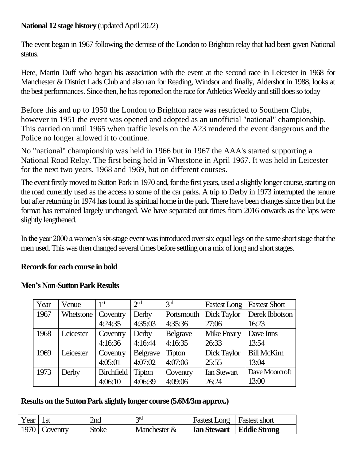### **National 12 stage history** (updated April 2022)

The event began in 1967 following the demise of the London to Brighton relay that had been given National status.

Here, Martin Duff who began his association with the event at the second race in Leicester in 1968 for Manchester & District Lads Club and also ran for Reading, Windsor and finally, Aldershot in 1988, looks at the best performances. Since then, he has reported on the race for Athletics Weekly and still does so today

Before this and up to 1950 the London to Brighton race was restricted to Southern Clubs, however in 1951 the event was opened and adopted as an unofficial "national" championship. This carried on until 1965 when traffic levels on the A23 rendered the event dangerous and the Police no longer allowed it to continue.

No "national" championship was held in 1966 but in 1967 the AAA's started supporting a National Road Relay. The first being held in Whetstone in April 1967. It was held in Leicester for the next two years, 1968 and 1969, but on different courses.

The event firstly moved to Sutton Park in 1970 and, for the first years, used a slightly longer course, starting on the road currently used as the access to some of the car parks. A trip to Derby in 1973 interrupted the tenure but after returning in 1974 has found its spiritual home in the park. There have been changes since then but the format has remained largely unchanged. We have separated out times from 2016 onwards as the laps were slightly lengthened.

In the year 2000 a women's six-stage event was introduced over six equal legs on the same short stage that the men used. This was then changed several times before settling on amix of long and short stages.

### **Records for each course in bold**

| Year | Venue            | 1 <sup>st</sup>   | 2 <sub>nd</sub> | 3 <sup>rd</sup> | <b>Fastest Long</b> | <b>Fastest Short</b> |
|------|------------------|-------------------|-----------------|-----------------|---------------------|----------------------|
| 1967 | <b>Whetstone</b> | Coventry          | Derby           | Portsmouth      | Dick Taylor         | Derek Ibbotson       |
|      |                  | 4:24:35           | 4:35:03         | 4:35:36         | 27:06               | 16:23                |
| 1968 | Leicester        | Coventry          | Derby           | <b>Belgrave</b> | <b>Mike Freary</b>  | Dave Inns            |
|      |                  | 4:16:36           | 4:16:44         | 4:16:35         | 26:33               | 13:54                |
| 1969 | Leicester        | Coventry          | <b>Belgrave</b> | <b>Tipton</b>   | Dick Taylor         | <b>Bill McKim</b>    |
|      |                  | 4:05:01           | 4:07:02         | 4:07:06         | 25:55               | 13:04                |
| 1973 | Derby            | <b>Birchfield</b> | <b>Tipton</b>   | Coventry        | <b>Ian Stewart</b>  | Dave Moorcroft       |
|      |                  | 4:06:10           | 4:06:39         | 4:09:06         | 26:24               | 13:00                |

#### **Men's Non-Sutton Park Results**

#### **Results on the Sutton Park slightly longer course (5.6M/3m approx.)**

| Year |         | ∠nd   | 2 <sub>10</sub> | <b>Fastest Long</b> | Fastest short |
|------|---------|-------|-----------------|---------------------|---------------|
| 1970 | oventry | Stoke | Manchester $&$  | <b>Ian Stewart</b>  | Eddie Strong  |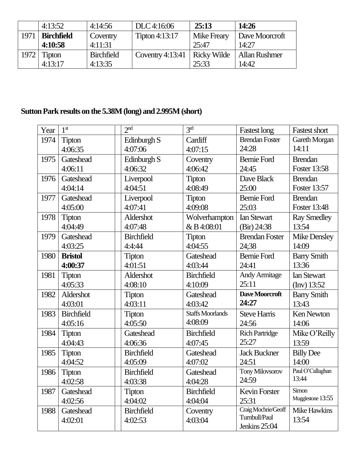|      | 4:13:52           | 4:14:56           | DLC 4:16:06        | 25:13              | 14:26          |
|------|-------------------|-------------------|--------------------|--------------------|----------------|
| 1971 | <b>Birchfield</b> | Coventry          | Tipton $4:13:17$   | Mike Freary        | Dave Moorcroft |
|      | 4:10:58           | 4:11:31           |                    | 25:47              | 14:27          |
| 1972 | <b>Tipton</b>     | <b>Birchfield</b> | Coventry $4:13:41$ | <b>Ricky Wilde</b> | Allan Rushmer  |
|      | 4:13:17           | 4:13:35           |                    | 25:33              | 14:42          |

# **Sutton Park results on the 5.38M (long) and 2.995M(short)**

| Year | 1 <sup>st</sup>   | 2 <sup>nd</sup>   | 3 <sup>rd</sup>         | <b>Fastest long</b>    | <b>Fastest short</b> |
|------|-------------------|-------------------|-------------------------|------------------------|----------------------|
| 1974 | Tipton            | Edinburgh S       | Cardiff                 | <b>Brendan Foster</b>  | Gareth Morgan        |
|      | 4:06:35           | 4:07:06           | 4:07:15                 | 24:28                  | 14:11                |
| 1975 | Gateshead         | Edinburgh S       | Coventry                | <b>Bernie Ford</b>     | <b>Brendan</b>       |
|      | 4:06:11           | 4:06:32           | 4:06:42                 | 24:45                  | <b>Foster 13:58</b>  |
| 1976 | Gateshead         | Liverpool         | <b>Tipton</b>           | Dave Black             | <b>Brendan</b>       |
|      | 4:04:14           | 4:04:51           | 4:08:49                 | 25:00                  | Foster 13:57         |
| 1977 | Gateshead         | Liverpool         | <b>Tipton</b>           | <b>Bernie Ford</b>     | <b>Brendan</b>       |
|      | 4:05:00           | 4:07:41           | 4:09:08                 | 25:03                  | <b>Foster 13:48</b>  |
| 1978 | <b>Tipton</b>     | Aldershot         | Wolverhampton           | <b>Ian Stewart</b>     | <b>Ray Smedley</b>   |
|      | 4:04:49           | 4:07:48           | & B 4:08:01             | (Bir) 24:38            | 13:54                |
| 1979 | Gateshead         | <b>Birchfield</b> | <b>Tipton</b>           | <b>Brendan Foster</b>  | Mike Densley         |
|      | 4:03:25           | 4:4:44            | 4:04:55                 | 24;38                  | 14:09                |
| 1980 | <b>Bristol</b>    | <b>Tipton</b>     | Gateshead               | <b>Bernie Ford</b>     | <b>Barry Smith</b>   |
|      | 4:00:37           | 4:01:51           | 4:03:44                 | 24:41                  | 13:36                |
| 1981 | <b>Tipton</b>     | Aldershot         | <b>Birchfield</b>       | <b>Andy Armitage</b>   | <b>Ian Stewart</b>   |
|      | 4:05:33           | 4:08:10           | 4:10:09                 | 25:11                  | $\text{(Inv)} 13:52$ |
| 1982 | Aldershot         | <b>Tipton</b>     | Gateshead               | Dave Moorcroft         | <b>Barry Smith</b>   |
|      | 4:03:01           | 4:03:11           | 4:03:42                 | 24:27                  | 13:43                |
| 1983 | <b>Birchfield</b> | <b>Tipton</b>     | <b>Staffs Moorlands</b> | <b>Steve Harris</b>    | <b>Ken Newton</b>    |
|      | 4:05:16           | 4:05:50           | 4:08:09                 | 24:56                  | 14:06                |
| 1984 | <b>Tipton</b>     | Gateshead         | <b>Birchfield</b>       | <b>Rich Partridge</b>  | Mike O'Reilly        |
|      | 4:04:43           | 4:06:36           | 4:07:45                 | 25:27                  | 13:59                |
| 1985 | <b>Tipton</b>     | <b>Birchfield</b> | Gateshead               | <b>Jack Buckner</b>    | <b>Billy Dee</b>     |
|      | 4:04:52           | 4:05:09           | 4:07:02                 | 24:51                  | 14:00                |
| 1986 | <b>Tipton</b>     | <b>Birchfield</b> | Gateshead               | <b>Tony Milovsorov</b> | Paul O'Callaghan     |
|      | 4:02:58           | 4:03:38           | 4:04:28                 | 24:59                  | 13:44                |
| 1987 | Gateshead         | <b>Tipton</b>     | <b>Birchfield</b>       | Kevin Forster          | Simon                |
|      | 4:02:56           | 4:04:02           | 4:04:04                 | 25:31                  | Mugglestone 13:55    |
| 1988 | Gateshead         | <b>Birchfield</b> | Coventry                | Craig Mochrie/Geoff    | Mike Hawkins         |
|      | 4:02:01           | 4:02:53           | 4:03:04                 | Turnbull/Paul          | 13:54                |
|      |                   |                   |                         | Jenkins 25:04          |                      |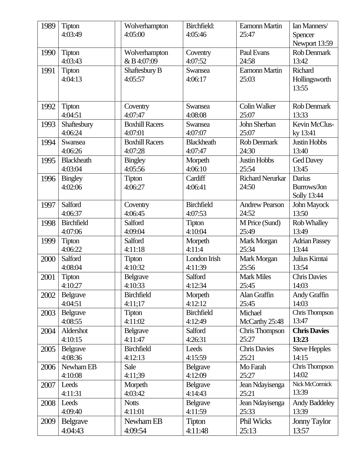| 1989 | <b>Tipton</b>     | Wolverhampton         | Birchfield:       | <b>Eamonn Martin</b>    | Ian Manners/         |
|------|-------------------|-----------------------|-------------------|-------------------------|----------------------|
|      | 4:03:49           | 4:05:00               | 4:05:46           | 25:47                   | Spencer              |
|      |                   |                       |                   |                         | Newport 13:59        |
| 1990 | <b>Tipton</b>     | Wolverhampton         | Coventry          | Paul Evans              | Rob Denmark          |
|      | 4:03:43           | & B 4:07:09           | 4:07:52           | 24:58                   | 13:42                |
| 1991 | <b>Tipton</b>     | Shaftesbury B         | Swansea           | <b>Eamonn Martin</b>    | Richard              |
|      | 4:04:13           | 4:05:57               | 4:06:17           | 25:03                   | Hollingsworth        |
|      |                   |                       |                   |                         | 13:55                |
|      |                   |                       |                   |                         |                      |
| 1992 | <b>Tipton</b>     | Coventry              | Swansea           | <b>Colin Walker</b>     | <b>Rob Denmark</b>   |
|      | 4:04:51           | 4:07:47               | 4:08:08           | 25:07                   | 13:33                |
| 1993 | Shaftesbury       | <b>Boxhill Racers</b> | Swansea           | John Sherban            | Kevin McClus-        |
|      | 4:06:24           | 4:07:01               | 4:07:07           | 25:07                   | ky 13:41             |
| 1994 | Swansea           | <b>Boxhill Racers</b> | <b>Blackheath</b> | Rob Denmark             | <b>Justin Hobbs</b>  |
|      | 4:06:26           | 4:07:28               | 4:07:47           | 24:30                   | 13:40                |
| 1995 | <b>Blackheath</b> | <b>Bingley</b>        | Morpeth           | <b>Justin Hobbs</b>     | <b>Ged Davey</b>     |
|      | 4:03:04           | 4:05:56               | 4:06:10           | 25:54                   | 13:45                |
| 1996 | <b>Bingley</b>    | <b>Tipton</b>         | Cardiff           | <b>Richard Nerurkar</b> | Darius               |
|      | 4:02:06           | 4:06:27               | 4:06:41           | 24:50                   | Burrows/Jon          |
|      |                   |                       |                   |                         | Solly 13:44          |
| 1997 | Salford           | Coventry              | <b>Birchfield</b> | <b>Andrew Pearson</b>   | John Mayock          |
|      | 4:06:37           | 4:06:45               | 4:07:53           | 24:52                   | 13:50                |
| 1998 | <b>Birchfield</b> | Salford               | <b>Tipton</b>     | M Price (Sund)          | <b>Rob Whalley</b>   |
|      | 4:07:06           | 4:09:04               | 4:10:04           | 25:49                   | 13:49                |
| 1999 | <b>Tipton</b>     | Salford               | Morpeth           | Mark Morgan             | <b>Adrian Passey</b> |
|      | 4:06:22           | 4:11:18               | 4:11:4            | 25:34                   | 13:44                |
| 2000 | Salford           | <b>Tipton</b>         | London Irish      | Mark Morgan             | Julius Kimtai        |
|      | 4:08:04           | 4:10:32               | 4:11:39           | 25:56                   | 13:54                |
| 2001 | Tipton            | Belgrave              | Salford           | <b>Mark Miles</b>       | <b>Chris Davies</b>  |
|      | 4:10:27           | 4:10:33               | 4:12:34           | 25:45                   | 14:03                |
| 2002 | Belgrave          | <b>Birchfield</b>     | Morpeth           | Alan Graffin            | Andy Graffin         |
|      | 4:04:51           | 4:11;17               | 4:12:12           | 25:45                   | 14:03                |
| 2003 | Belgrave          | <b>Tipton</b>         | <b>Birchfield</b> | Michael                 | Chris Thompson       |
|      | 4:08:55           | 4:11:02               | 4:12:49           | McCarthy 25:48          | 13:47                |
| 2004 | Aldershot         | <b>Belgrave</b>       | Salford           | Chris Thompson          | <b>Chris Davies</b>  |
|      | 4:10:15           | 4:11:47               | 4:26:31           | 25:27                   | 13:23                |
| 2005 | <b>Belgrave</b>   | <b>Birchfield</b>     | Leeds             | <b>Chris Davies</b>     | <b>Steve Hepples</b> |
|      | 4:08:36           | 4:12:13               | 4:15:59           | 25:21                   | 14:15                |
| 2006 | Newham EB         | Sale                  | Belgrave          | Mo Farah                | Chris Thompson       |
|      | 4:10:08           | 4:11:39               | 4:12:09           | 25:27                   | 14:02                |
| 2007 | Leeds             | Morpeth               | Belgrave          | Jean Ndayisenga         | Nick McCormick       |
|      | 4:11:31           | 4:03:42               | 4:14:43           | 25:21                   | 13:39                |
| 2008 | Leeds             | <b>Notts</b>          | Belgrave          | Jean Ndayisenga         | <b>Andy Baddeley</b> |
|      | 4:09:40           | 4:11:01               | 4:11:59           | 25:33                   | 13:39                |
| 2009 | <b>Belgrave</b>   | Newham EB             | <b>Tipton</b>     | Phil Wicks              | <b>Jonny Taylor</b>  |
|      | 4:04:43           | 4:09:54               | 4:11:48           | 25:13                   | 13:57                |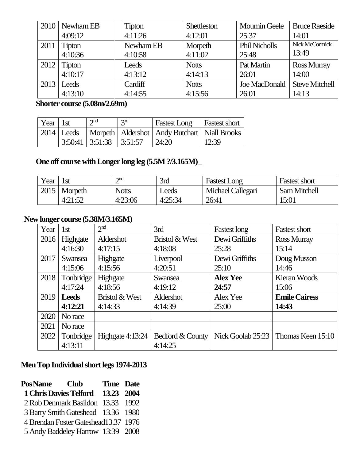|      | $2010$ Newham EB | <b>Tipton</b> | Shettleston  | <b>Moumin Geele</b>  | <b>Bruce Raeside</b>  |
|------|------------------|---------------|--------------|----------------------|-----------------------|
|      | 4:09:12          | 4:11:26       | 4:12:01      | 25:37                | 14:01                 |
| 2011 | <b>Tipton</b>    | Newham EB     | Morpeth      | <b>Phil Nicholls</b> | Nick McCormick        |
|      | 4:10:36          | 4:10:58       | 4:11:02      | 25:48                | 13:49                 |
| 2012 | <b>Tipton</b>    | Leeds         | <b>Notts</b> | Pat Martin           | <b>Ross Murray</b>    |
|      | 4:10:17          | 4:13:12       | 4:14:13      | 26:01                | 14:00                 |
|      | $2013$ Leeds     | Cardiff       | <b>Notts</b> | Joe MacDonald        | <b>Steve Mitchell</b> |
|      | 4:13:10          | 4:14:55       | 4:15:56      | 26:01                | 14:13                 |

### **Shorter course (5.08m/2.69m)**

| $\vert$ Year $\vert$ 1st | $\gamma$ nd | 2 <sup>rd</sup>                            | <b>Fastest Long</b>   Fastest short                               |       |
|--------------------------|-------------|--------------------------------------------|-------------------------------------------------------------------|-------|
|                          |             |                                            | 2014   Leeds   Morpeth   Aldershot   Andy Butchart   Niall Brooks |       |
|                          |             | $\mid$ 3:50:41   3:51:38   3:51:57   24:20 |                                                                   | 12:39 |

## **One off course with Longer long leg (5.5M ?/3.165M)\_**

| Year | 1st     | $\gamma$ nd  | 3rd          | <b>Fastest Long</b> | <b>Fastest short</b> |
|------|---------|--------------|--------------|---------------------|----------------------|
| 2015 | Morpeth | <b>Notts</b> | <b>Leeds</b> | Michael Callegari   | <b>Sam Mitchell</b>  |
|      | 4:21:52 | 4:23:06      | 4:25:34      | 26:41               | 15:01                |

### **Newlonger course (5.38M/3.165M)**

| ပ<br>Year | 1 <sub>st</sub> | 2 <sup>nd</sup>    | 3rd              | <b>Fastest long</b> | <b>Fastest short</b>                    |
|-----------|-----------------|--------------------|------------------|---------------------|-----------------------------------------|
| 2016      | Highgate        | Aldershot          | Bristol & West   | Dewi Griffiths      | <b>Ross Murray</b>                      |
|           | 4:16:30         | 4:17:15            | 4:18:08          | 25:28               | 15:14                                   |
| 2017      | Swansea         | Highgate           | Liverpool        | Dewi Griffiths      | Doug Musson                             |
|           | 4:15:06         | 4:15:56            | 4:20:51          | 25:10               | 14:46                                   |
| 2018      | Tonbridge       | Highgate           | Swansea          | <b>Alex Yee</b>     | Kieran Woods                            |
|           | 4:17:24         | 4:18:56            | 4:19:12          | 24:57               | 15:06                                   |
|           | $2019$ Leeds    | Bristol & West     | Aldershot        | Alex Yee            | <b>Emile Cairess</b>                    |
|           | 4:12:21         | 4:14:33            | 4:14:39          | 25:00               | 14:43                                   |
| 2020      | No race         |                    |                  |                     |                                         |
| 2021      | No race         |                    |                  |                     |                                         |
| 2022      | Tonbridge       | Highgate $4:13:24$ | Bedford & County |                     | Nick Goolab $25:23$ Thomas Keen $15:10$ |
|           | 4:13:11         |                    | 4:14:25          |                     |                                         |

## **MenTop Individual short legs 1974-2013**

| Pos Name Club |                                      | <b>Time Date</b> |  |
|---------------|--------------------------------------|------------------|--|
|               | 1 Chris Davies Telford 13.23 2004    |                  |  |
|               | 2 Rob Denmark Basildon 13.33 1992    |                  |  |
|               | 3 Barry Smith Gateshead 13.36 1980   |                  |  |
|               | 4 Brendan Foster Gateshead13.37 1976 |                  |  |
|               | 5 Andy Baddeley Harrow 13:39 2008    |                  |  |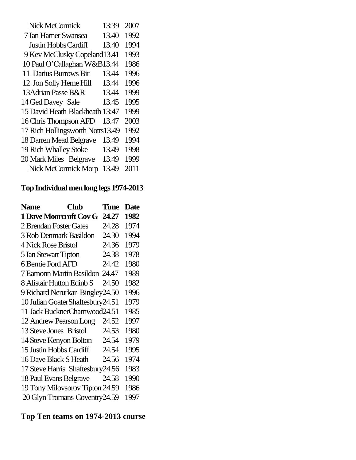| Nick McCormick                   | 13:39 | 2007 |
|----------------------------------|-------|------|
| 7 Ian Hamer Swansea              | 13.40 | 1992 |
| <b>Justin Hobbs Cardiff</b>      | 13.40 | 1994 |
| 9 Kev McClusky Copeland13.41     |       | 1993 |
| 10 Paul O'Callaghan W&B13.44     |       | 1986 |
| 11 Darius Burrows Bir            | 13.44 | 1996 |
| 12 Jon Solly Herne Hill          | 13.44 | 1996 |
| 13 Adrian Passe B&R              | 13.44 | 1999 |
| 14 Ged Davey Sale                | 13.45 | 1995 |
| 15 David Heath Blackheath        | 13:47 | 1999 |
| 16 Chris Thompson AFD            | 13.47 | 2003 |
| 17 Rich Hollingsworth Notts13.49 |       | 1992 |
| 18 Darren Mead Belgrave          | 13.49 | 1994 |
| 19 Rich Whalley Stoke            | 13.49 | 1998 |
| 20 Mark Miles Belgrave           | 13.49 | 1999 |
| <b>Nick McCormick Morp</b>       | 13.49 | 2011 |

# **Top Individual menlong legs 1974-2013**

| <b>Name</b>                        | <b>Club</b> | Time  | <b>Date</b> |
|------------------------------------|-------------|-------|-------------|
| <b>1 Dave Moorcroft Cov G</b>      |             | 24.27 | 1982        |
| 2 Brendan Foster Gates             |             | 24.28 | 1974        |
| 3 Rob Denmark Basildon             |             | 24.30 | 1994        |
| <b>4 Nick Rose Bristol</b>         |             | 24.36 | 1979        |
| 5 Ian Stewart Tipton               |             | 24.38 | 1978        |
| 6 Bernie Ford AFD                  |             | 24.42 | 1980        |
| 7 Eamonn Martin Basildon 24.47     |             |       | 1989        |
| 8 Alistair Hutton Edinb S          |             | 24.50 | 1982        |
| 9 Richard Nerurkar Bingley24.50    |             |       | 1996        |
| 10 Julian Goater Shaftesbury 24.51 |             |       | 1979        |
| 11 Jack BucknerCharnwood24.51      |             |       | 1985        |
| 12 Andrew Pearson Long             |             | 24.52 | 1997        |
| 13 Steve Jones Bristol             |             | 24.53 | 1980        |
| 14 Steve Kenyon Bolton             |             | 24.54 | 1979        |
| 15 Justin Hobbs Cardiff            |             | 24.54 | 1995        |
| 16 Dave Black S Heath              |             | 24.56 | 1974        |
| 17 Steve Harris Shaftesbury 24.56  |             |       | 1983        |
| 18 Paul Evans Belgrave             |             | 24.58 | 1990        |
| 19 Tony Milovsorov Tipton 24.59    |             |       | 1986        |
| 20 Glyn Tromans Coventry 24.59     |             |       | 1997        |

# **Top Ten teams on 1974-2013 course**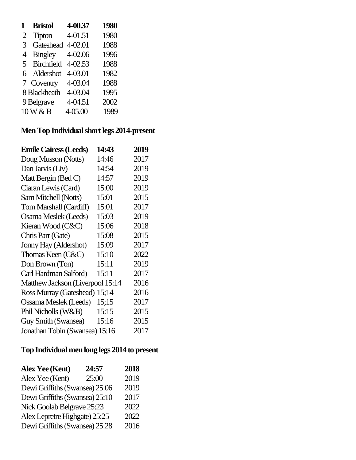|   | <b>Bristol</b>    | 4-00.37     | 1980 |
|---|-------------------|-------------|------|
| 2 | Tipton            | 4-01.51     | 1980 |
| 3 | Gateshead         | 4-02.01     | 1988 |
| 4 | <b>Bingley</b>    | 4-02.06     | 1996 |
| 5 | <b>Birchfield</b> | $4 - 02.53$ | 1988 |
|   | 6 Aldershot       | 4-03.01     | 1982 |
|   | 7 Coventry        | 4-03.04     | 1988 |
|   | 8 Blackheath      | 4-03.04     | 1995 |
|   | 9 Belgrave        | 4-04.51     | 2002 |
|   | 10 W & B          | 4-05.00     | 1989 |

# **MenTop Individual short legs 2014-present**

| <b>Emile Cairess (Leeds)</b>     | 14:43 | 2019 |
|----------------------------------|-------|------|
| Doug Musson (Notts)              | 14:46 | 2017 |
| Dan Jarvis (Liv)                 | 14:54 | 2019 |
| Matt Bergin (Bed C)              | 14:57 | 2019 |
| Ciaran Lewis (Card)              | 15:00 | 2019 |
| Sam Mitchell (Notts)             | 15:01 | 2015 |
| Tom Marshall (Cardiff)           | 15:01 | 2017 |
| Osama Meslek (Leeds)             | 15:03 | 2019 |
| Kieran Wood (C&C)                | 15:06 | 2018 |
| Chris Parr (Gate)                | 15:08 | 2015 |
| Jonny Hay (Aldershot)            | 15:09 | 2017 |
| Thomas Keen (C&C)                | 15:10 | 2022 |
| Don Brown (Ton)                  | 15:11 | 2019 |
| Carl Hardman Salford)            | 15:11 | 2017 |
| Matthew Jackson (Liverpool 15:14 |       | 2016 |
| Ross Murray (Gateshead)          | 15;14 | 2016 |
| Ossama Meslek (Leeds)            | 15;15 | 2017 |
| Phil Nicholls (W&B)              | 15:15 | 2015 |
| Guy Smith (Swansea)              | 15:16 | 2015 |
| Jonathan Tobin (Swansea) 15:16   |       | 2017 |

# **Top Individual menlong legs 2014 to present**

| <b>Alex Yee (Kent)</b>         | 24:57 | 2018 |
|--------------------------------|-------|------|
| Alex Yee (Kent)                | 25:00 | 2019 |
| Dewi Griffiths (Swansea) 25:06 |       | 2019 |
| Dewi Griffiths (Swansea) 25:10 |       | 2017 |
| Nick Goolab Belgrave 25:23     |       | 2022 |
| Alex Lepretre Highgate) 25:25  |       | 2022 |
| Dewi Griffiths (Swansea) 25:28 |       | 2016 |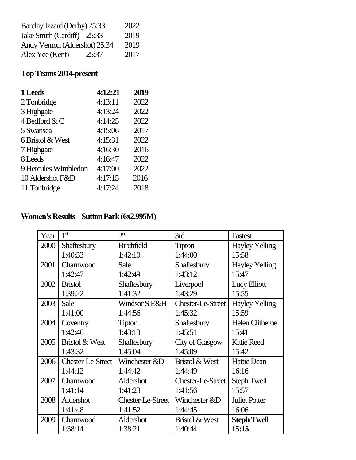| Barclay Izzard (Derby) 25:33  |       | 2022 |
|-------------------------------|-------|------|
| Jake Smith (Cardiff) 25:33    |       | 2019 |
| Andy Vernon (Aldershot) 25:34 |       | 2019 |
| Alex Yee (Kent)               | 25:37 | 2017 |

# **Top Teams 2014-present**

| 1 Leeds              | 4:12:21 | 2019 |
|----------------------|---------|------|
| 2 Tonbridge          | 4:13:11 | 2022 |
| 3 Highgate           | 4:13:24 | 2022 |
| 4 Bedford & C        | 4:14:25 | 2022 |
| 5 Swansea            | 4:15:06 | 2017 |
| 6 Bristol & West     | 4:15:31 | 2022 |
| 7 Highgate           | 4:16:30 | 2016 |
| 8 Leeds              | 4:16:47 | 2022 |
| 9 Hercules Wimbledon | 4:17:00 | 2022 |
| 10 Aldershot F&D     | 4:17:15 | 2016 |
| 11 Tonbridge         | 4:17:24 | 2018 |

# **Women's Results – Sutton Park (6x2.995M)**

| Year | 1 <sup>st</sup>   | 2 <sub>nd</sub>   | 3rd                       | Fastest                |
|------|-------------------|-------------------|---------------------------|------------------------|
| 2000 | Shaftesbury       | <b>Birchfield</b> | <b>Tipton</b>             | <b>Hayley Yelling</b>  |
|      | 1:40:33           | 1:42:10           | 1:44:00                   | 15:58                  |
| 2001 | Charnwood         | Sale              | Shaftesbury               | <b>Hayley Yelling</b>  |
|      | 1:42:47           | 1:42:49           | 1:43:12                   | 15:47                  |
| 2002 | <b>Bristol</b>    | Shaftesbury       | Liverpool                 | Lucy Elliott           |
|      | 1:39:22           | 1:41:32           | 1:43:29                   | 15:55                  |
| 2003 | Sale              | Windsor S E&H     | Chester-Le-Street         | <b>Hayley Yelling</b>  |
|      | 1:41:00           | 1:44:56           | 1:45:32                   | 15:59                  |
| 2004 | Coventry          | <b>Tipton</b>     | Shaftesbury               | <b>Helen Clitheroe</b> |
|      | 1:42:46           | 1:43:13           | 1:45:51                   | 15:41                  |
| 2005 | Bristol & West    | Shaftesbury       | City of Glasgow           | <b>Katie Reed</b>      |
|      | 1:43:32           | 1:45:04           | 1:45:09                   | 15:42                  |
| 2006 | Chester-Le-Street | Winchester &D     | <b>Bristol &amp; West</b> | <b>Hattie Dean</b>     |
|      | 1:44:12           | 1:44:42           | 1:44:49                   | 16:16                  |
| 2007 | Charnwood         | Aldershot         | Chester-Le-Street         | <b>Steph Twell</b>     |
|      | 1:41:14           | 1:41:23           | 1:41:56                   | 15:57                  |
| 2008 | Aldershot         | Chester-Le-Street | Winchester &D             | <b>Juliet Potter</b>   |
|      | 1:41:48           | 1:41:52           | 1:44:45                   | 16:06                  |
| 2009 | Charnwood         | Aldershot         | <b>Bristol &amp; West</b> | <b>Steph Twell</b>     |
|      | 1:38:14           | 1:38:21           | 1:40:44                   | 15:15                  |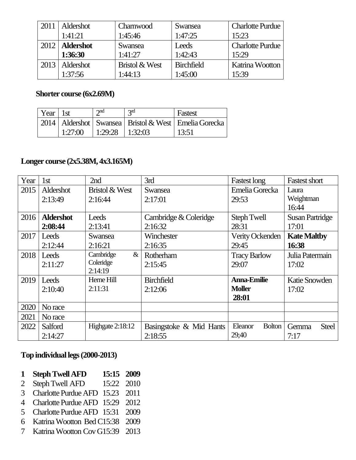| 2011 | Aldershot               | Charnwood      | Swansea           | <b>Charlotte Purdue</b> |
|------|-------------------------|----------------|-------------------|-------------------------|
|      | 1:41:21                 | 1:45:46        | 1:47:25           | 15:23                   |
|      | 2012   <b>Aldershot</b> | <b>Swansea</b> | Leeds             | <b>Charlotte Purdue</b> |
|      | 1:36:30                 | 1:41:27        | 1:42:43           | 15:29                   |
| 2013 | Aldershot               | Bristol & West | <b>Birchfield</b> | Katrina Wootton         |
|      | 1:37:56                 | 1:44:13        | 1:45:00           | 15:39                   |

#### **Shorter course (6x2.69M)**

| Year $\vert$ 1st |         | $\gamma$ nd       | 2 <sub>nd</sub> | Fastest                                                      |
|------------------|---------|-------------------|-----------------|--------------------------------------------------------------|
|                  |         |                   |                 | 2014   Aldershot   Swansea   Bristol & West   Emelia Gorecka |
|                  | 1:27:00 | 1:29:28   1:32:03 |                 | 13:51                                                        |

### **Longer course (2x5.38M, 4x3.165M)**

| Year | 1st              | 2nd                       | 3rd                     | <b>Fastest long</b>      | <b>Fastest short</b>   |
|------|------------------|---------------------------|-------------------------|--------------------------|------------------------|
| 2015 | Aldershot        | <b>Bristol &amp; West</b> | Swansea                 | Emelia Gorecka           | Laura                  |
|      | 2:13:49          | 2:16:44                   | 2:17:01                 | 29:53                    | Weightman              |
|      |                  |                           |                         |                          | 16:44                  |
| 2016 | <b>Aldershot</b> | Leeds                     | Cambridge & Coleridge   | <b>Steph Twell</b>       | <b>Susan Partridge</b> |
|      | 2:08:44          | 2:13:41                   | 2:16:32                 | 28:31                    | 17:01                  |
| 2017 | Leeds            | <b>Swansea</b>            | Winchester              | Verity Ockenden          | <b>Kate Maltby</b>     |
|      | 2:12:44          | 2:16:21                   | 2:16:35                 | 29:45                    | 16:38                  |
| 2018 | Leeds            | Cambridge<br>$\&$         | Rotherham               | <b>Tracy Barlow</b>      | Julia Patermain        |
|      | 2:11:27          | Coleridge                 | 2:15:45                 | 29:07                    | 17:02                  |
|      |                  | 2:14:19                   |                         |                          |                        |
| 2019 | Leeds            | Herne Hill                | <b>Birchfield</b>       | <b>Anna-Emilie</b>       | Katie Snowden          |
|      | 2:10:40          | 2:11:31                   | 2:12:06                 | <b>Moller</b>            | 17:02                  |
|      |                  |                           |                         | 28:01                    |                        |
| 2020 | No race          |                           |                         |                          |                        |
| 2021 | No race          |                           |                         |                          |                        |
| 2022 | Salford          | Highgate $2:18:12$        | Basingstoke & Mid Hants | Eleanor<br><b>Bolton</b> | Gemma<br><b>Steel</b>  |
|      | 2:14:27          |                           | 2:18:55                 | 29;40                    | 7:17                   |

#### **Top individual legs(2000-2013)**

- **1 Steph Twell AFD 15:15 2009**
- 2 Steph Twell AFD 15:22 2010
- 3 Charlotte PurdueAFD 15.23 2011
- 4 Charlotte Purdue AFD 15:29 2012
- 5 Charlotte Purdue AFD 15:31 2009
- 6 Katrina Wootton Bed C15:38 2009
- 7 Katrina Wootton CovG15:39 2013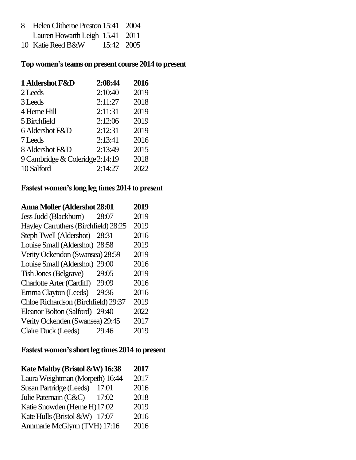- 8 Helen Clitheroe Preston 15:41 2004 Lauren Howarth Leigh 15.41 2011
- 10 Katie Reed B&W 15:42 2005

#### **Top women's teams on present course 2014 to present**

| 1 Aldershot F&D                 | 2:08:44 | 2016 |
|---------------------------------|---------|------|
| 2 Leeds                         | 2:10:40 | 2019 |
| 3 Leeds                         | 2:11:27 | 2018 |
| 4 Herne Hill                    | 2:11:31 | 2019 |
| 5 Birchfield                    | 2:12:06 | 2019 |
| 6 Aldershot F&D                 | 2:12:31 | 2019 |
| 7 Leeds                         | 2:13:41 | 2016 |
| 8 Aldershot F&D                 | 2:13:49 | 2015 |
| 9 Cambridge & Coleridge 2:14:19 |         | 2018 |
| 10 Salford                      | 2:14:27 | 2022 |

### **Fastest women's long leg times 2014 to present**

| <b>Anna Moller (Aldershot 28:01</b>  |       | 2019 |
|--------------------------------------|-------|------|
| Jess Judd (Blackburn)                | 28:07 | 2019 |
| Hayley Carruthers (Birchfield) 28:25 |       | 2019 |
| Steph Twell (Aldershot) 28:31        |       | 2016 |
| Louise Small (Aldershot) 28:58       |       | 2019 |
| Verity Ockendon (Swansea) 28:59      |       | 2019 |
| Louise Small (Aldershot) 29:00       |       | 2016 |
| <b>Tish Jones (Belgrave)</b>         | 29:05 | 2019 |
| Charlotte Arter (Cardiff) 29:09      |       | 2016 |
| Emma Clayton (Leeds)                 | 29:36 | 2016 |
| Chloe Richardson (Birchfield) 29:37  |       | 2019 |
| Eleanor Bolton (Salford) 29:40       |       | 2022 |
| Verity Ockenden (Swansea) 29:45      |       | 2017 |
| Claire Duck (Leeds)                  | 29:46 | 2019 |
|                                      |       |      |

## **Fastest women's short leg times 2014 to present**

| Kate Maltby (Bristol &W) 16:38  |       | 2017 |
|---------------------------------|-------|------|
| Laura Weightman (Morpeth) 16:44 |       | 2017 |
| Susan Partridge (Leeds)         | 17:01 | 2016 |
| Julie Paternain (C&C)           | 17:02 | 2018 |
| Katie Snowden (Herne H) 17:02   |       | 2019 |
| Kate Hulls (Bristol &W) 17:07   |       | 2016 |
| Annmarie McGlynn (TVH) 17:16    |       | 2016 |